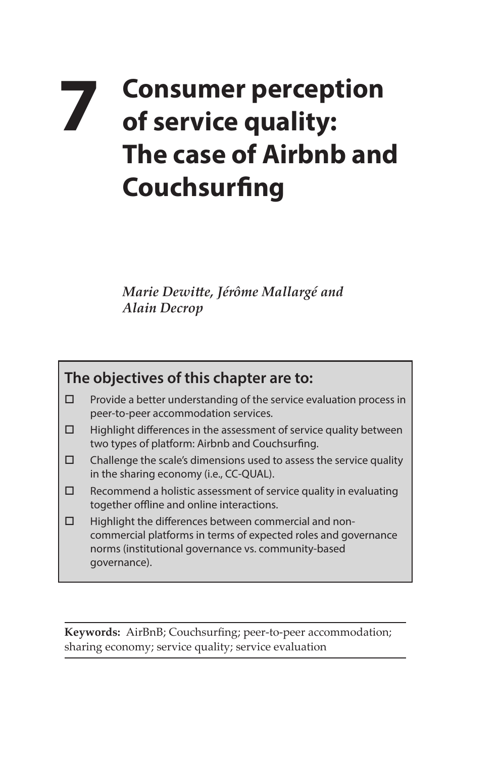## **7 Consumer perception of service quality: The case of Airbnb and Couchsurfing**

*Marie Dewitte, Jérôme Mallargé and Alain Decrop*

## **The objectives of this chapter are to:**

- $\Box$  Provide a better understanding of the service evaluation process in peer-to-peer accommodation services.
- $\Box$  Highlight differences in the assessment of service quality between two types of platform: Airbnb and Couchsurfing.
- $\square$  Challenge the scale's dimensions used to assess the service quality in the sharing economy (i.e., CC-QUAL).
- $\square$  Recommend a holistic assessment of service quality in evaluating together offline and online interactions.
- $\Box$  Highlight the differences between commercial and noncommercial platforms in terms of expected roles and governance norms (institutional governance vs. community-based governance).

**Keywords:** AirBnB; Couchsurfing; peer-to-peer accommodation; sharing economy; service quality; service evaluation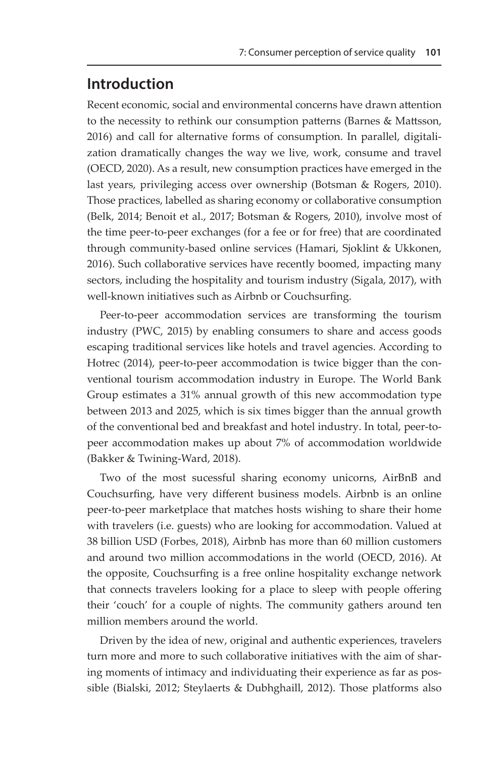## **Introduction**

Recent economic, social and environmental concerns have drawn attention to the necessity to rethink our consumption patterns (Barnes & Mattsson, 2016) and call for alternative forms of consumption. In parallel, digitalization dramatically changes the way we live, work, consume and travel (OECD, 2020). As a result, new consumption practices have emerged in the last years, privileging access over ownership (Botsman & Rogers, 2010). Those practices, labelled as sharing economy or collaborative consumption (Belk, 2014; Benoit et al., 2017; Botsman & Rogers, 2010), involve most of the time peer-to-peer exchanges (for a fee or for free) that are coordinated through community-based online services (Hamari, Sjoklint & Ukkonen, 2016). Such collaborative services have recently boomed, impacting many sectors, including the hospitality and tourism industry (Sigala, 2017), with well-known initiatives such as Airbnb or Couchsurfing.

Peer-to-peer accommodation services are transforming the tourism industry (PWC, 2015) by enabling consumers to share and access goods escaping traditional services like hotels and travel agencies. According to Hotrec (2014), peer-to-peer accommodation is twice bigger than the conventional tourism accommodation industry in Europe. The World Bank Group estimates a 31% annual growth of this new accommodation type between 2013 and 2025, which is six times bigger than the annual growth of the conventional bed and breakfast and hotel industry. In total, peer-topeer accommodation makes up about 7% of accommodation worldwide (Bakker & Twining-Ward, 2018).

Two of the most sucessful sharing economy unicorns, AirBnB and Couchsurfing, have very different business models. Airbnb is an online peer-to-peer marketplace that matches hosts wishing to share their home with travelers (i.e. guests) who are looking for accommodation. Valued at 38 billion USD (Forbes, 2018), Airbnb has more than 60 million customers and around two million accommodations in the world (OECD, 2016). At the opposite, Couchsurfing is a free online hospitality exchange network that connects travelers looking for a place to sleep with people offering their 'couch' for a couple of nights. The community gathers around ten million members around the world.

Driven by the idea of new, original and authentic experiences, travelers turn more and more to such collaborative initiatives with the aim of sharing moments of intimacy and individuating their experience as far as possible (Bialski, 2012; Steylaerts & Dubhghaill, 2012). Those platforms also